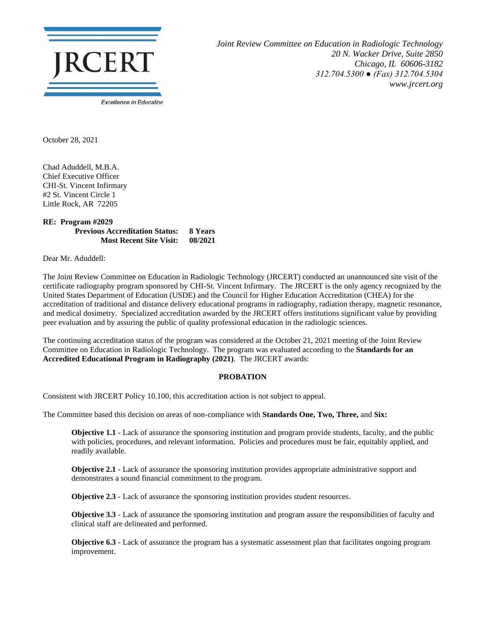

*Joint Review Committee on Education in Radiologic Technology 20 N. Wacker Drive, Suite 2850 Chicago, IL 60606-3182 312.704.5300 ● (Fax) 312.704.5304 www.jrcert.org*

October 28, 2021

Chad Aduddell, M.B.A. Chief Executive Officer CHI-St. Vincent Infirmary #2 St. Vincent Circle 1 Little Rock, AR 72205

## **RE: Program #2029 Previous Accreditation Status: 8 Years Most Recent Site Visit: 08/2021**

Dear Mr. Aduddell:

The Joint Review Committee on Education in Radiologic Technology (JRCERT) conducted an unannounced site visit of the certificate radiography program sponsored by CHI-St. Vincent Infirmary. The JRCERT is the only agency recognized by the United States Department of Education (USDE) and the Council for Higher Education Accreditation (CHEA) for the accreditation of traditional and distance delivery educational programs in radiography, radiation therapy, magnetic resonance, and medical dosimetry. Specialized accreditation awarded by the JRCERT offers institutions significant value by providing peer evaluation and by assuring the public of quality professional education in the radiologic sciences.

The continuing accreditation status of the program was considered at the October 21, 2021 meeting of the Joint Review Committee on Education in Radiologic Technology. The program was evaluated according to the **Standards for an Accredited Educational Program in Radiography (2021)**. The JRCERT awards:

## **PROBATION**

Consistent with JRCERT Policy 10.100, this accreditation action is not subject to appeal.

The Committee based this decision on areas of non-compliance with **Standards One, Two, Three,** and **Six:**

**Objective 1.1** - Lack of assurance the sponsoring institution and program provide students, faculty, and the public with policies, procedures, and relevant information. Policies and procedures must be fair, equitably applied, and readily available.

**Objective 2.1** - Lack of assurance the sponsoring institution provides appropriate administrative support and demonstrates a sound financial commitment to the program.

**Objective 2.3** - Lack of assurance the sponsoring institution provides student resources.

**Objective 3.3** - Lack of assurance the sponsoring institution and program assure the responsibilities of faculty and clinical staff are delineated and performed.

**Objective 6.3** - Lack of assurance the program has a systematic assessment plan that facilitates ongoing program improvement.